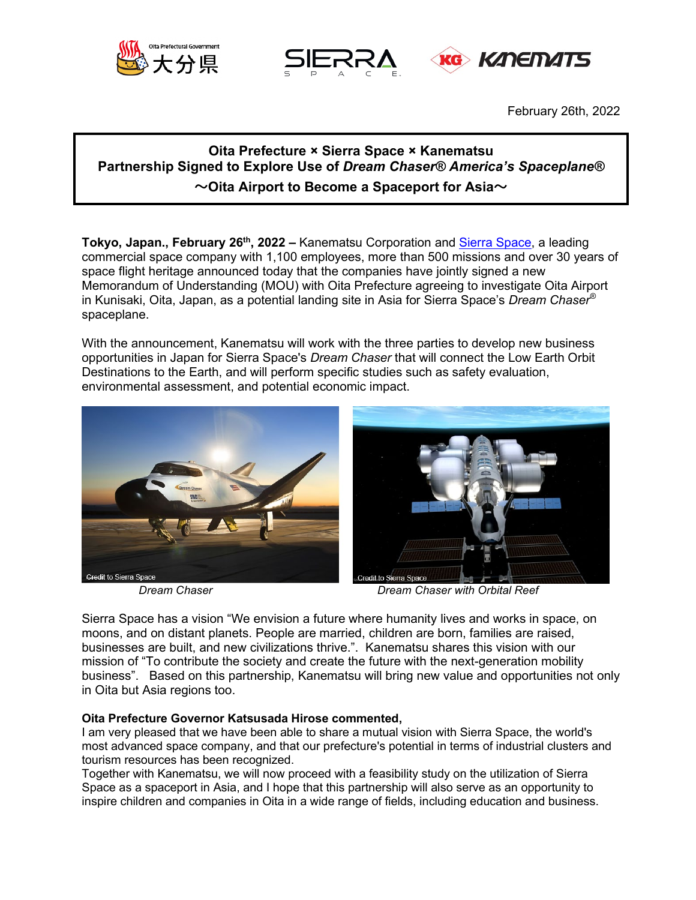





February 26th, 2022

# **Oita Prefecture × Sierra Space × Kanematsu Partnership Signed to Explore Use of** *Dream Chaser® America's Spaceplane®* **~Oita Airport to Become a Spaceport for Asia~**

**Tokyo, Japan., February 26<sup>th</sup>, 2022 –** Kanematsu Corporation and **Sierra Space**, a leading commercial space company with 1,100 employees, more than 500 missions and over 30 years of space flight heritage announced today that the companies have jointly signed a new Memorandum of Understanding (MOU) with Oita Prefecture agreeing to investigate Oita Airport in Kunisaki, Oita, Japan, as a potential landing site in Asia for Sierra Space's *Dream Chaser®* spaceplane.

With the announcement, Kanematsu will work with the three parties to develop new business opportunities in Japan for Sierra Space's *Dream Chaser* that will connect the Low Earth Orbit Destinations to the Earth, and will perform specific studies such as safety evaluation, environmental assessment, and potential economic impact.





*Dream Chaser Dream Chaser with Orbital Reef*

Sierra Space has a vision "We envision a future where humanity lives and works in space, on moons, and on distant planets. People are married, children are born, families are raised, businesses are built, and new civilizations thrive.". Kanematsu shares this vision with our mission of "To contribute the society and create the future with the next-generation mobility business". Based on this partnership, Kanematsu will bring new value and opportunities not only in Oita but Asia regions too.

# **Oita Prefecture Governor Katsusada Hirose commented,**

I am very pleased that we have been able to share a mutual vision with Sierra Space, the world's most advanced space company, and that our prefecture's potential in terms of industrial clusters and tourism resources has been recognized.

Together with Kanematsu, we will now proceed with a feasibility study on the utilization of Sierra Space as a spaceport in Asia, and I hope that this partnership will also serve as an opportunity to inspire children and companies in Oita in a wide range of fields, including education and business.